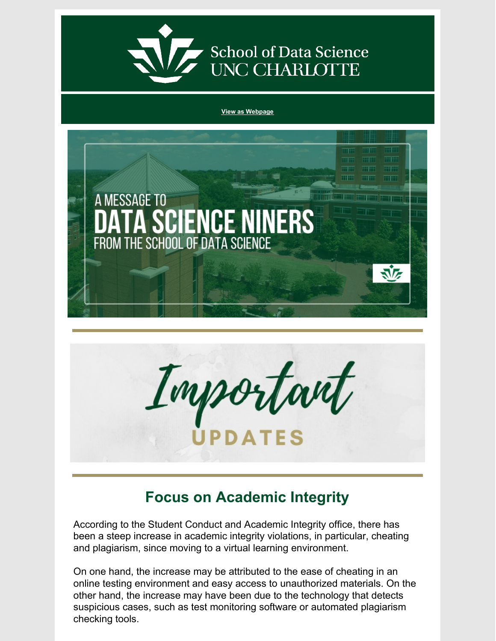

School of Data Science<br>UNC CHARLOTTE

**View as [Webpage](https://campaignlp.constantcontact.com/em/1130527463971/862083ee-70d8-4a54-95ef-ba816eb25b90)**





# **Focus on Academic Integrity**

According to the Student Conduct and Academic Integrity office, there has been a steep increase in academic integrity violations, in particular, cheating and plagiarism, since moving to a virtual learning environment.

On one hand, the increase may be attributed to the ease of cheating in an online testing environment and easy access to unauthorized materials. On the other hand, the increase may have been due to the technology that detects suspicious cases, such as test monitoring software or automated plagiarism checking tools.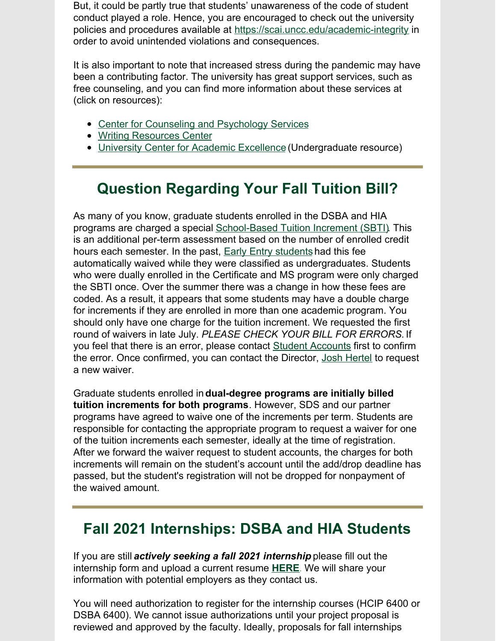But, it could be partly true that students' unawareness of the code of student conduct played a role. Hence, you are encouraged to check out the university policies and procedures available at <https://scai.uncc.edu/academic-integrity> in order to avoid unintended violations and consequences.

It is also important to note that increased stress during the pandemic may have been a contributing factor. The university has great support services, such as free counseling, and you can find more information about these services at (click on resources):

- Center for Counseling and [Psychology](https://caps.uncc.edu/) Services
- Writing [Resources](https://writing.uncc.edu/writing-resources-center) Center
- **University Center for Academic [Excellence](https://ucae.uncc.edu/academic-support-services) (Undergraduate resource)**

# **Question Regarding Your Fall Tuition Bill?**

As many of you know, graduate students enrolled in the DSBA and HIA programs are charged a special [School-Based](https://dsba.uncc.edu/current-students/tuition-increment) Tuition Increment (SBTI). This is an additional per-term assessment based on the number of enrolled credit hours each semester. In the past, **Early Entry [students](https://gradadmissions.uncc.edu/admissions/early-entry)** had this fee automatically waived while they were classified as undergraduates. Students who were dually enrolled in the Certificate and MS program were only charged the SBTI once. Over the summer there was a change in how these fees are coded. As a result, it appears that some students may have a double charge for increments if they are enrolled in more than one academic program. You should only have one charge for the tuition increment. We requested the first round of waivers in late July. *PLEASE CHECK YOUR BILL FOR ERRORS.* If you feel that there is an error, please contact Student [Accounts](https://ninercentral.uncc.edu/billing-payments-refunds/billing-information) first to confirm the error. Once confirmed, you can contact the Director, Josh [Hertel](mailto:jhertel@uncc.edu) to request a new waiver.

Graduate students enrolled in**dual-degree programs are initially billed tuition increments for both programs**. However, SDS and our partner programs have agreed to waive one of the increments per term. Students are responsible for contacting the appropriate program to request a waiver for one of the tuition increments each semester, ideally at the time of registration. After we forward the waiver request to student accounts, the charges for both increments will remain on the student's account until the add/drop deadline has passed, but the student's registration will not be dropped for nonpayment of the waived amount.

### **Fall 2021 Internships: DSBA and HIA Students**

If you are still *actively seeking a fall 2021 internship* please fill out the internship form and upload a current resume **[HERE](https://docs.google.com/forms/d/e/1FAIpQLSeaoCKtWQO4vtMJl0jDyXYFaaDwHPd3DoPribamEBrjB1POww/viewform?usp=sf_link)**. We will share your information with potential employers as they contact us.

You will need authorization to register for the internship courses (HCIP 6400 or DSBA 6400). We cannot issue authorizations until your project proposal is reviewed and approved by the faculty. Ideally, proposals for fall internships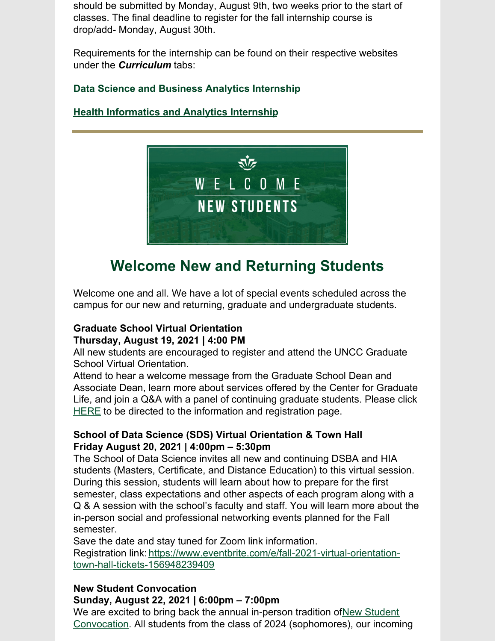should be submitted by Monday, August 9th, two weeks prior to the start of classes. The final deadline to register for the fall internship course is drop/add- Monday, August 30th.

Requirements for the internship can be found on their respective websites under the *Curriculum* tabs:

### **Data Science and Business Analytics [Internship](https://dsba.uncc.edu/curriculum/internship)**

### **Health [Informatics](https://hia.uncc.edu/curriculum/internship-course-information) and Analytics Internship**



# **Welcome New and Returning Students**

Welcome one and all. We have a lot of special events scheduled across the campus for our new and returning, graduate and undergraduate students.

### **Graduate School Virtual Orientation Thursday, August 19, 2021 | 4:00 PM**

All new students are encouraged to register and attend the UNCC Graduate School Virtual Orientation.

Attend to hear a welcome message from the Graduate School Dean and Associate Dean, learn more about services offered by the Center for Graduate Life, and join a Q&A with a panel of continuing graduate students. Please click [HERE](https://gradlife.uncc.edu/graduate-community/orientation) to be directed to the information and registration page.

### **School of Data Science (SDS) Virtual Orientation & Town Hall Friday August 20, 2021 | 4:00pm – 5:30pm**

The School of Data Science invites all new and continuing DSBA and HIA students (Masters, Certificate, and Distance Education) to this virtual session. During this session, students will learn about how to prepare for the first semester, class expectations and other aspects of each program along with a Q & A session with the school's faculty and staff. You will learn more about the in-person social and professional networking events planned for the Fall semester.

Save the date and stay tuned for Zoom link information.

Registration link: [https://www.eventbrite.com/e/fall-2021-virtual-orientation](https://www.eventbrite.com/e/fall-2021-virtual-orientation-town-hall-tickets-156948239409)town-hall-tickets-156948239409

### **New Student Convocation**

### **Sunday, August 22, 2021 | 6:00pm – 7:00pm**

We are excited to bring back the annual in-person tradition of New Student Convocation. All students from the class of 2024 [\(sophomores\),](https://studentconvocation.uncc.edu/) our incoming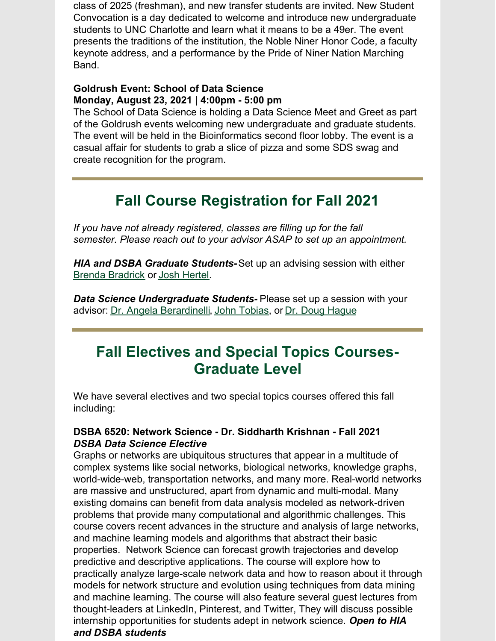class of 2025 (freshman), and new transfer students are invited. New Student Convocation is a day dedicated to welcome and introduce new undergraduate students to UNC Charlotte and learn what it means to be a 49er. The event presents the traditions of the institution, the Noble Niner Honor Code, a faculty keynote address, and a performance by the Pride of Niner Nation Marching Band.

### **Goldrush Event: School of Data Science Monday, August 23, 2021 | 4:00pm - 5:00 pm**

The School of Data Science is holding a Data Science Meet and Greet as part of the Goldrush events welcoming new undergraduate and graduate students. The event will be held in the Bioinformatics second floor lobby. The event is a casual affair for students to grab a slice of pizza and some SDS swag and create recognition for the program.

# **Fall Course Registration for Fall 2021**

*If you have not already registered, classes are filling up for the fall semester. Please reach out to your advisor ASAP to set up an appointment.*

*HIA and DSBA Graduate Students-*Set up an advising session with either Brenda [Bradrick](mailto:bbradric@uncc.edu) or Josh [Hertel](mailto:jhertel@uncc.edu).

*Data Science Undergraduate Students-* Please set up a session with your advisor: Dr. Angela [Berardinelli](mailto:aberardinelli@uncc.edu), John [Tobias](mailto:jtobias@uncc.edu), or Dr. Doug [Hague](mailto:dhague@uncc.edu)

# **Fall Electives and Special Topics Courses-Graduate Level**

We have several electives and two special topics courses offered this fall including:

### **DSBA 6520: Network Science - Dr. Siddharth Krishnan - Fall 2021** *DSBA Data Science Elective*

Graphs or networks are ubiquitous structures that appear in a multitude of complex systems like social networks, biological networks, knowledge graphs, world-wide-web, transportation networks, and many more. Real-world networks are massive and unstructured, apart from dynamic and multi-modal. Many existing domains can benefit from data analysis modeled as network-driven problems that provide many computational and algorithmic challenges. This course covers recent advances in the structure and analysis of large networks, and machine learning models and algorithms that abstract their basic properties. Network Science can forecast growth trajectories and develop predictive and descriptive applications. The course will explore how to practically analyze large-scale network data and how to reason about it through models for network structure and evolution using techniques from data mining and machine learning. The course will also feature several guest lectures from thought-leaders at LinkedIn, Pinterest, and Twitter, They will discuss possible internship opportunities for students adept in network science. *Open to HIA and DSBA students*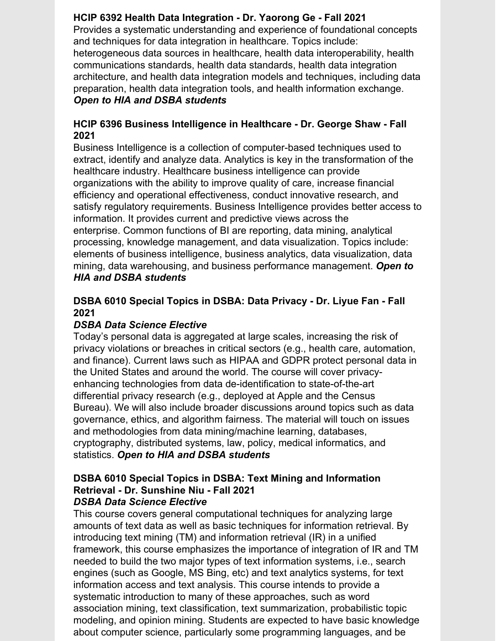### **HCIP 6392 Health Data Integration - Dr. Yaorong Ge - Fall 2021**

Provides a systematic understanding and experience of foundational concepts and techniques for data integration in healthcare. Topics include: heterogeneous data sources in healthcare, health data interoperability, health communications standards, health data standards, health data integration architecture, and health data integration models and techniques, including data preparation, health data integration tools, and health information exchange. *Open to HIA and DSBA students*

### **HCIP 6396 Business Intelligence in Healthcare - Dr. George Shaw - Fall 2021**

Business Intelligence is a collection of computer-based techniques used to extract, identify and analyze data. Analytics is key in the transformation of the healthcare industry. Healthcare business intelligence can provide organizations with the ability to improve quality of care, increase financial efficiency and operational effectiveness, conduct innovative research, and satisfy regulatory requirements. Business Intelligence provides better access to information. It provides current and predictive views across the enterprise. Common functions of BI are reporting, data mining, analytical processing, knowledge management, and data visualization. Topics include: elements of business intelligence, business analytics, data visualization, data mining, data warehousing, and business performance management. *Open to HIA and DSBA students*

### **DSBA 6010 Special Topics in DSBA: Data Privacy - Dr. Liyue Fan - Fall 2021**

### *DSBA Data Science Elective*

Today's personal data is aggregated at large scales, increasing the risk of privacy violations or breaches in critical sectors (e.g., health care, automation, and finance). Current laws such as HIPAA and GDPR protect personal data in the United States and around the world. The course will cover privacyenhancing technologies from data de-identification to state-of-the-art differential privacy research (e.g., deployed at Apple and the Census Bureau). We will also include broader discussions around topics such as data governance, ethics, and algorithm fairness. The material will touch on issues and methodologies from data mining/machine learning, databases, cryptography, distributed systems, law, policy, medical informatics, and statistics. *Open to HIA and DSBA students*

#### **DSBA 6010 Special Topics in DSBA: Text Mining and Information Retrieval - Dr. Sunshine Niu - Fall 2021** *DSBA Data Science Elective*

This course covers general computational techniques for analyzing large amounts of text data as well as basic techniques for information retrieval. By introducing text mining (TM) and information retrieval (IR) in a unified framework, this course emphasizes the importance of integration of IR and TM needed to build the two major types of text information systems, i.e., search engines (such as Google, MS Bing, etc) and text analytics systems, for text information access and text analysis. This course intends to provide a systematic introduction to many of these approaches, such as word association mining, text classification, text summarization, probabilistic topic modeling, and opinion mining. Students are expected to have basic knowledge about computer science, particularly some programming languages, and be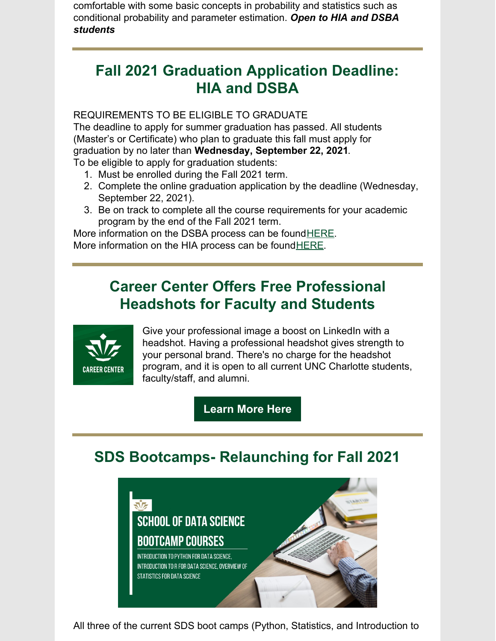comfortable with some basic concepts in probability and statistics such as conditional probability and parameter estimation. *Open to HIA and DSBA students*

# **Fall 2021 Graduation Application Deadline: HIA and DSBA**

### REQUIREMENTS TO BE ELIGIBLE TO GRADUATE

The deadline to apply for summer graduation has passed. All students (Master's or Certificate) who plan to graduate this fall must apply for graduation by no later than **Wednesday, September 22, 2021**. To be eligible to apply for graduation students:

- 1. Must be enrolled during the Fall 2021 term.
- 2. Complete the online graduation application by the deadline (Wednesday, September 22, 2021).
- 3. Be on track to complete all the course requirements for your academic program by the end of the Fall 2021 term.

More information on the DSBA process can be found HERE. More information on the HIA process can be found HERE.

# **Career Center Offers Free Professional Headshots for Faculty and Students**



Give your professional image a boost on LinkedIn with a headshot. Having a professional headshot gives strength to your personal brand. There's no charge for the headshot program, and it is open to all current UNC Charlotte students, faculty/staff, and alumni.

**[Learn](https://career.uncc.edu/professional-headshots) More Here**

# **SDS Bootcamps- Relaunching for Fall 2021**



All three of the current SDS boot camps (Python, Statistics, and Introduction to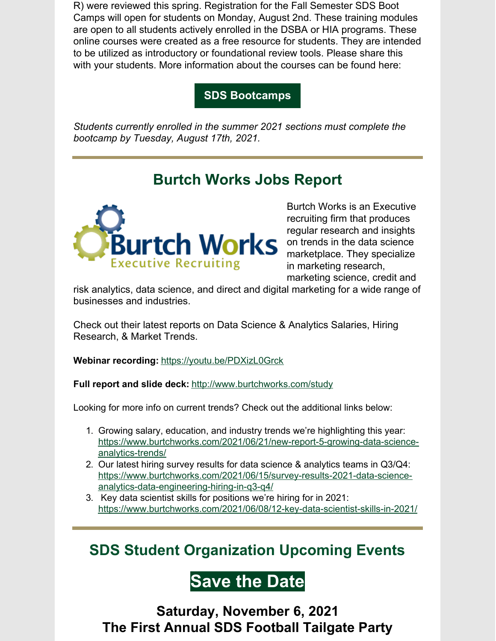R) were reviewed this spring. Registration for the Fall Semester SDS Boot Camps will open for students on Monday, August 2nd. These training modules are open to all students actively enrolled in the DSBA or HIA programs. These online courses were created as a free resource for students. They are intended to be utilized as introductory or foundational review tools. Please share this with your students. More information about the courses can be found here:

**SDS [Bootcamps](https://dsba.uncc.edu/current-students/sds-bootcamp-courses)**

*Students currently enrolled in the summer 2021 sections must complete the bootcamp by Tuesday, August 17th, 2021.*

# **Burtch Works Jobs Report**



Burtch Works is an Executive recruiting firm that produces regular research and insights on trends in the data science marketplace. They specialize in marketing research,

marketing science, credit and

risk analytics, data science, and direct and digital marketing for a wide range of businesses and industries.

Check out their latest reports on Data Science & Analytics Salaries, Hiring Research, & Market Trends.

**Webinar recording:** <https://youtu.be/PDXizL0Grck>

**Full report and slide deck:** <http://www.burtchworks.com/study>

Looking for more info on current trends? Check out the additional links below:

- 1. Growing salary, education, and industry trends we're highlighting this year: [https://www.burtchworks.com/2021/06/21/new-report-5-growing-data-science](https://www.burtchworks.com/2021/06/21/new-report-5-growing-data-science-analytics-trends/)analytics-trends/
- 2. Our latest hiring survey results for data science & analytics teams in Q3/Q4: [https://www.burtchworks.com/2021/06/15/survey-results-2021-data-science](https://www.burtchworks.com/2021/06/15/survey-results-2021-data-science-analytics-data-engineering-hiring-in-q3-q4/)analytics-data-engineering-hiring-in-q3-q4/
- 3. Key data scientist skills for positions we're hiring for in 2021: <https://www.burtchworks.com/2021/06/08/12-key-data-scientist-skills-in-2021/>

**SDS Student Organization Upcoming Events**

# **Save the Date**

**Saturday, November 6, 2021 The First Annual SDS Football Tailgate Party**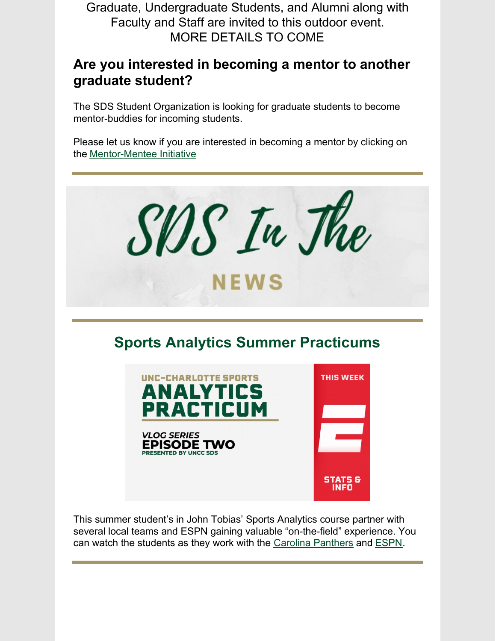Graduate, Undergraduate Students, and Alumni along with Faculty and Staff are invited to this outdoor event. MORE DETAILS TO COME

### **Are you interested in becoming a mentor to another graduate student?**

The SDS Student Organization is looking for graduate students to become mentor-buddies for incoming students.

Please let us know if you are interested in becoming a mentor by clicking on the [Mentor-Mentee](https://docs.google.com/forms/d/e/1FAIpQLSfKsKBKAXlm0u3A7hiaJvfh6u-yfeGh6JHaEv-rwzQUqI2RiA/viewform?usp=sf_link) Initiative



This summer student's in John Tobias' Sports Analytics course partner with several local teams and ESPN gaining valuable "on-the-field" experience. You can watch the students as they work with the Carolina [Panthers](https://www.youtube.com/watch?v=GyZfJJe869o&t=2s) and [ESPN](https://www.youtube.com/watch?v=_9JMDyGB_o0).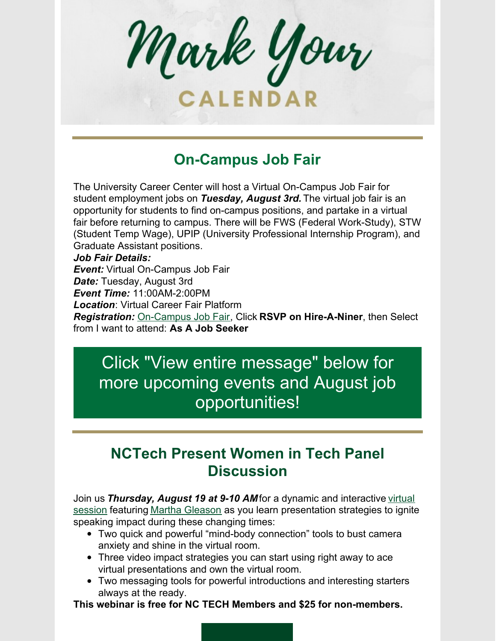Mark Your CALENDAR

# **On-Campus Job Fair**

The University Career Center will host a Virtual On-Campus Job Fair for student employment jobs on *Tuesday, August 3rd.* The virtual job fair is an opportunity for students to find on-campus positions, and partake in a virtual fair before returning to campus. There will be FWS (Federal Work-Study), STW (Student Temp Wage), UPIP (University Professional Internship Program), and Graduate Assistant positions.

#### *Job Fair Details:*

*Event:* Virtual On-Campus Job Fair

*Date:* Tuesday, August 3rd

*Event Time:* 11:00AM-2:00PM

*Location*: Virtual Career Fair Platform

*Registration:* [On-Campus](https://r20.rs6.net/tn.jsp?f=001jbbpqjclREcgfaztSR4-KFkLic5iRcapSwsDKQvRHsXDQeLCIbk2tOczHk1kIcb9rldbzfdUqP9SKdFUmHVYTwDRn3_8JVlRXBsM5fKY30rY1RWK8OiHaRdSbdts-QY_tyxD96w9DVsIFYd1CkfF3WrKTTQL5M9GrSpUMSA9SS8YdLkj6A06tiqtEFJ6a9WM&c=RsZMCMYra9-9QsDpPzsh8dY8Hn569eKe4pbAuVHKwmFEI81xaosYmg==&ch=zuq5yUg3veine-tCbnnc9a0mkbZxU84RgD9lMmmXH-zEFrMti5v1Lw==) Job Fair, Click **RSVP on Hire-A-Niner**, then Select from I want to attend: **As A Job Seeker**

# Click "View entire message" below for more upcoming events and August job opportunities!

# **NCTech Present Women in Tech Panel Discussion**

Join us *Thursday, August 19 at 9-10 AM*for a dynamic and interactive virtual session featuring Martha [Gleason](https://r20.rs6.net/tn.jsp?f=001PpiI3ljBglGvdzbZmSldDPk60rwInoA4kgdlnPKQTbMQ-2VGJlkkanokHaMdAHJuTnmqpUljASESoXbO0EH-D2bmjjOslhWR1NwaT0LC9id6eXp8OrvLob1-5bWyDrUebRSske7dW4YNGOEOh9xE4jfSPZ8OSZCvPfLd7sgnWrqiHhAj3Xk4JUT0DC77r2ya&c=dvKHaGTkx5izCtcc3TJAvpvovoOBQ0s9LoOwzoHAaEIRu71nClR46w==&ch=OB373RZcAAYCMrGBntqVrwVj1qj0Bft1needfniA6cGFe6UaQnZB8A==) as you learn [presentation](https://r20.rs6.net/tn.jsp?f=001PpiI3ljBglGvdzbZmSldDPk60rwInoA4kgdlnPKQTbMQ-2VGJlkkaljRrZpNugGdYx90GxZ-cahnXbNyayOUx7v1Ju0ZOJAhGQbC-kYpbEESFd_DHRfsw11fIwwPSjA_UFCUsloapr5XGOTfr3RefpOX2E0CAM5dxlljiqm3lhk-FOA0Np9hBCCC3hwy52AqoUlcqPGHwghaCnVoud6hMQ==&c=dvKHaGTkx5izCtcc3TJAvpvovoOBQ0s9LoOwzoHAaEIRu71nClR46w==&ch=OB373RZcAAYCMrGBntqVrwVj1qj0Bft1needfniA6cGFe6UaQnZB8A==) strategies to ignite speaking impact during these changing times:

- Two quick and powerful "mind-body connection" tools to bust camera anxiety and shine in the virtual room.
- Three video impact strategies you can start using right away to ace virtual presentations and own the virtual room.
- Two messaging tools for powerful introductions and interesting starters always at the ready.

**This webinar is free for NC TECH Members and \$25 for non-members.**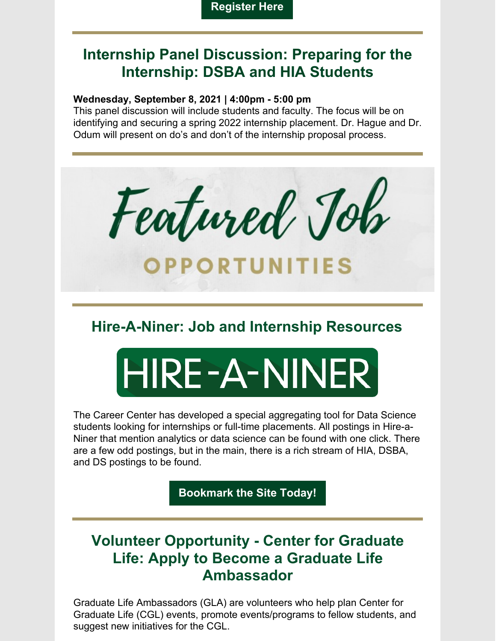## **Internship Panel Discussion: Preparing for the Internship: DSBA and HIA Students**

### **Wednesday, September 8, 2021 | 4:00pm - 5:00 pm**

This panel discussion will include students and faculty. The focus will be on identifying and securing a spring 2022 internship placement. Dr. Hague and Dr. Odum will present on do's and don't of the internship proposal process.



# **Hire-A-Niner: Job and Internship Resources**

# HIRE-A-NINER

The Career Center has developed a special aggregating tool for Data Science students looking for internships or full-time placements. All postings in Hire-a-Niner that mention analytics or data science can be found with one click. There are a few odd postings, but in the main, there is a rich stream of HIA, DSBA, and DS postings to be found.

**[Bookmark](https://hireaniner.uncc.edu/jobs/type:SoDS) the Site Today!**

# **Volunteer Opportunity - Center for Graduate Life: Apply to Become a Graduate Life Ambassador**

Graduate Life Ambassadors (GLA) are volunteers who help plan Center for Graduate Life (CGL) events, promote events/programs to fellow students, and suggest new initiatives for the CGL.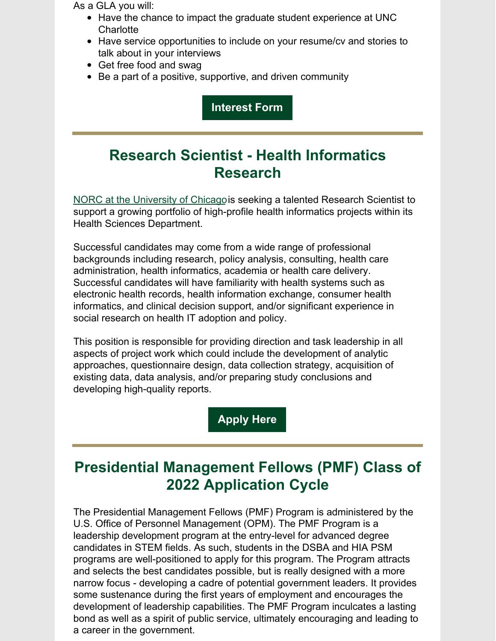As a GLA you will:

- Have the chance to impact the graduate student experience at UNC **Charlotte**
- Have service opportunities to include on your resume/cv and stories to talk about in your interviews
- Get free food and swag
- Be a part of a positive, supportive, and driven community

**[Interest](https://r20.rs6.net/tn.jsp?f=001AmqCZQO3eoJ8FvZz_hMpM_QOj1L9Uu3T9_ENm_L_FHI59w3sWJuLt7wo65yJT8BSjWm4Xzz1-1aYy5zyZfqsXC7NLks4ZVryLII2tawNJe9JvYr0quopSqyIQsSJ-9H1QA38QFE9LYgqaiUqTdRr1AGjHBCZXqQyheJZkMO1Ig72v4oupKDofEoJAsXf2If1M4p4FCS_OeQsc_f1JpfKozX-2gm3FoBuyWnMQq6e9bQLFoJ4cXc7CHSJV_uzCEOmZcQmPCn6DfU80OnAX5ldpQ==&c=vG8I_EMd-rqXBbysfbErFKVTH7iUlvaL17WZGXmQ2loCzz6M4knYXQ==&ch=tZA2nxXWGvR4N2gxN-v1Z1_xDrrV5FapLjCi1yrcSb7UkarDb_bzvA==) Form**

# **Research Scientist - Health Informatics Research**

NORC at the [University](https://www.norc.org/Pages/default.aspx) of Chicagois seeking a talented Research Scientist to support a growing portfolio of high-profile health informatics projects within its Health Sciences Department.

Successful candidates may come from a wide range of professional backgrounds including research, policy analysis, consulting, health care administration, health informatics, academia or health care delivery. Successful candidates will have familiarity with health systems such as electronic health records, health information exchange, consumer health informatics, and clinical decision support, and/or significant experience in social research on health IT adoption and policy.

This position is responsible for providing direction and task leadership in all aspects of project work which could include the development of analytic approaches, questionnaire design, data collection strategy, acquisition of existing data, data analysis, and/or preparing study conclusions and developing high-quality reports.

### **[Apply](https://secure.dc4.pageuppeople.com/apply/863/gateway/default.aspx?c=apply&lJobID=497264&lJobSourceTypeID=796&sLanguage=en-us) Here**

# **Presidential Management Fellows (PMF) Class of 2022 Application Cycle**

The Presidential Management Fellows (PMF) Program is administered by the U.S. Office of Personnel Management (OPM). The PMF Program is a leadership development program at the entry-level for advanced degree candidates in STEM fields. As such, students in the DSBA and HIA PSM programs are well-positioned to apply for this program. The Program attracts and selects the best candidates possible, but is really designed with a more narrow focus - developing a cadre of potential government leaders. It provides some sustenance during the first years of employment and encourages the development of leadership capabilities. The PMF Program inculcates a lasting bond as well as a spirit of public service, ultimately encouraging and leading to a career in the government.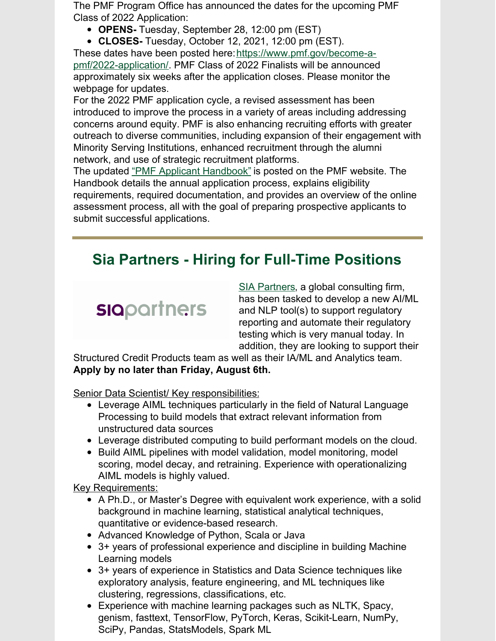The PMF Program Office has announced the dates for the upcoming PMF Class of 2022 Application:

- **OPENS-** Tuesday, September 28, 12:00 pm (EST)
- **CLOSES-** Tuesday, October 12, 2021, 12:00 pm (EST).

These dates have been posted here: https://www.pmf.gov/become-apmf/2022-application/. PMF Class of 2022 Finalists will be announced approximately six weeks after the application closes. Please monitor the webpage for updates.

For the 2022 PMF application cycle, a revised assessment has been introduced to improve the process in a variety of areas including addressing concerns around equity. PMF is also enhancing recruiting efforts with greater outreach to diverse communities, including expansion of their engagement with Minority Serving Institutions, enhanced recruitment through the alumni network, and use of strategic recruitment platforms.

The updated "PMF Applicant [Handbook"](https://www.pmf.gov/become-a-pmf/resources/) is posted on the PMF website. The Handbook details the annual application process, explains eligibility requirements, required documentation, and provides an overview of the online assessment process, all with the goal of preparing prospective applicants to submit successful applications.

# **Sia Partners - Hiring for Full-Time Positions**

# **siapartners**

SIA [Partners](http://www.sia-partners.com/), a global consulting firm, has been tasked to develop a new AI/ML and NLP tool(s) to support regulatory reporting and automate their regulatory testing which is very manual today. In addition, they are looking to support their

Structured Credit Products team as well as their IA/ML and Analytics team. **Apply by no later than Friday, August 6th.**

Senior Data Scientist/ Key responsibilities:

- Leverage AIML techniques particularly in the field of Natural Language Processing to build models that extract relevant information from unstructured data sources
- Leverage distributed computing to build performant models on the cloud.
- Build AIML pipelines with model validation, model monitoring, model scoring, model decay, and retraining. Experience with operationalizing AIML models is highly valued.

### Key Requirements:

- A Ph.D., or Master's Degree with equivalent work experience, with a solid background in machine learning, statistical analytical techniques, quantitative or evidence-based research.
- Advanced Knowledge of Python, Scala or Java
- 3+ years of professional experience and discipline in building Machine Learning models
- 3+ years of experience in Statistics and Data Science techniques like exploratory analysis, feature engineering, and ML techniques like clustering, regressions, classifications, etc.
- Experience with machine learning packages such as NLTK, Spacy, genism, fasttext, TensorFlow, PyTorch, Keras, Scikit-Learn, NumPy, SciPy, Pandas, StatsModels, Spark ML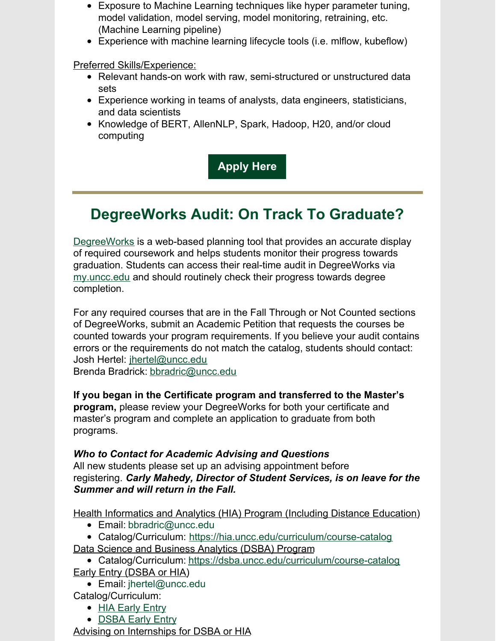- Exposure to Machine Learning techniques like hyper parameter tuning, model validation, model serving, model monitoring, retraining, etc. (Machine Learning pipeline)
- Experience with machine learning lifecycle tools (i.e. mlflow, kubeflow)

Preferred Skills/Experience:

- Relevant hands-on work with raw, semi-structured or unstructured data sets
- Experience working in teams of analysts, data engineers, statisticians, and data scientists
- Knowledge of BERT, AllenNLP, Spark, Hadoop, H20, and/or cloud computing

**[Apply](https://docs.google.com/forms/d/e/1FAIpQLSe1fsW6M2SGeH25Lbxiym71VMi94NxhSq87EmUhYX9fre9ALg/viewform?usp=sf_link) Here**

# **DegreeWorks Audit: On Track To Graduate?**

[DegreeWorks](https://www.youtube.com/watch?v=thiIHu-pdHM) is a web-based planning tool that provides an accurate display of required coursework and helps students monitor their progress towards graduation. Students can access their real-time audit in DegreeWorks via [my.uncc.edu](http://my.uncc.edu/) and should routinely check their progress towards degree completion.

For any required courses that are in the Fall Through or Not Counted sections of DegreeWorks, submit an Academic Petition that requests the courses be counted towards your program requirements. If you believe your audit contains errors or the requirements do not match the catalog, students should contact: Josh Hertel: [jhertel@uncc.edu](mailto:jhertel@uncc.edu)

Brenda Bradrick: [bbradric@uncc.edu](mailto:bbradric@uncc.edu)

**If you began in the Certificate program and transferred to the Master's program,** please review your DegreeWorks for both your certificate and master's program and complete an application to graduate from both programs.

### *Who to Contact for Academic Advising and Questions*

All new students please set up an advising appointment before registering. *Carly Mahedy, Director of Student Services, is on leave for the Summer and will return in the Fall.*

Health Informatics and Analytics (HIA) Program (Including Distance Education)

- Email: [bbradric@uncc.edu](mailto:bbradric@uncc.edu)
- Catalog/Curriculum: <https://hia.uncc.edu/curriculum/course-catalog>
- Data Science and Business Analytics (DSBA) Program
- Catalog/Curriculum: <https://dsba.uncc.edu/curriculum/course-catalog>
- Early Entry (DSBA or HIA)
	- Email: [jhertel@uncc.edu](mailto:jhertel@uncc.edu)
- Catalog/Curriculum:
	- HIA [Early](https://hia.uncc.edu/admissions/early-entry) Entry
	- **[DSBA](https://dsba.uncc.edu/admissions/early-entry) Early Entry**

Advising on Internships for DSBA or HIA